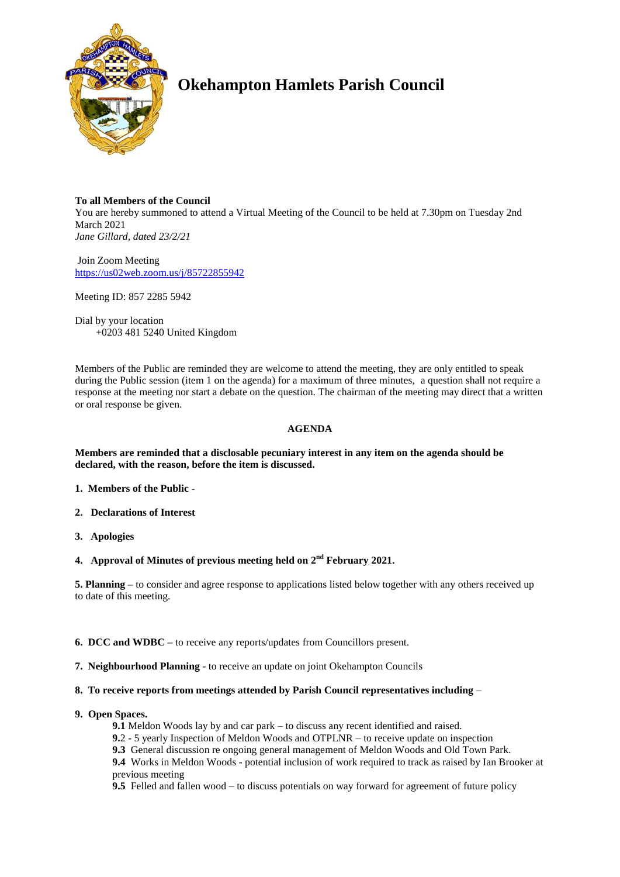

# **Okehampton Hamlets Parish Council**

### **To all Members of the Council**

You are hereby summoned to attend a Virtual Meeting of the Council to be held at 7.30pm on Tuesday 2nd March 2021 *Jane Gillard, dated 23/2/21*

Join Zoom Meeting <https://us02web.zoom.us/j/85722855942>

Meeting ID: 857 2285 5942

Dial by your location +0203 481 5240 United Kingdom

Members of the Public are reminded they are welcome to attend the meeting, they are only entitled to speak during the Public session (item 1 on the agenda) for a maximum of three minutes, a question shall not require a response at the meeting nor start a debate on the question. The chairman of the meeting may direct that a written or oral response be given.

## **AGENDA**

**Members are reminded that a disclosable pecuniary interest in any item on the agenda should be declared, with the reason, before the item is discussed.** 

- **1. Members of the Public -**
- **2. Declarations of Interest**
- **3. Apologies**
- **4. Approval of Minutes of previous meeting held on 2 nd February 2021.**

**5. Planning –** to consider and agree response to applications listed below together with any others received up to date of this meeting.

- **6. DCC and WDBC –** to receive any reports/updates from Councillors present.
- **7. Neighbourhood Planning** to receive an update on joint Okehampton Councils
- **8. To receive reports from meetings attended by Parish Council representatives including** –
- **9. Open Spaces.**
	- **9.1** Meldon Woods lay by and car park to discuss any recent identified and raised.
	- **9.**2 5 yearly Inspection of Meldon Woods and OTPLNR to receive update on inspection
	- **9.3** General discussion re ongoing general management of Meldon Woods and Old Town Park.
	- **9.4** Works in Meldon Woods potential inclusion of work required to track as raised by Ian Brooker at previous meeting

**9.5** Felled and fallen wood – to discuss potentials on way forward for agreement of future policy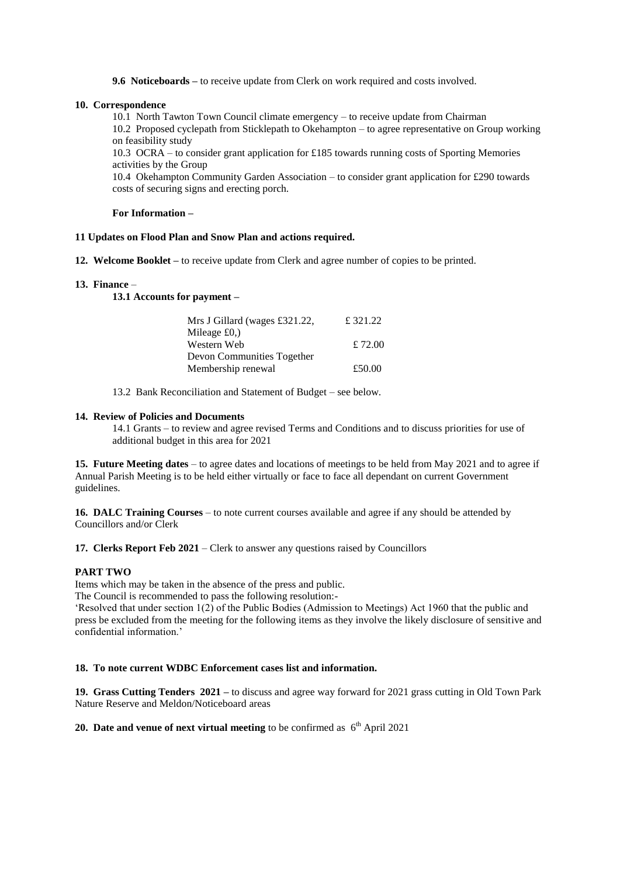**9.6 Noticeboards –** to receive update from Clerk on work required and costs involved.

#### **10. Correspondence**

10.1 North Tawton Town Council climate emergency – to receive update from Chairman

10.2 Proposed cyclepath from Sticklepath to Okehampton – to agree representative on Group working on feasibility study

10.3 OCRA – to consider grant application for £185 towards running costs of Sporting Memories activities by the Group

10.4 Okehampton Community Garden Association – to consider grant application for £290 towards costs of securing signs and erecting porch.

#### **For Information –**

#### **11 Updates on Flood Plan and Snow Plan and actions required.**

**12. Welcome Booklet –** to receive update from Clerk and agree number of copies to be printed.

#### **13. Finance** –

**13.1 Accounts for payment –**

| Mrs J Gillard (wages £321.22,     | £ 321.22 |
|-----------------------------------|----------|
| Mileage £0,)                      |          |
| Western Web                       | £ 72.00  |
| <b>Devon Communities Together</b> |          |
| Membership renewal                | £50.00   |

13.2 Bank Reconciliation and Statement of Budget – see below.

#### **14. Review of Policies and Documents**

14.1 Grants – to review and agree revised Terms and Conditions and to discuss priorities for use of additional budget in this area for 2021

**15. Future Meeting dates** – to agree dates and locations of meetings to be held from May 2021 and to agree if Annual Parish Meeting is to be held either virtually or face to face all dependant on current Government guidelines.

**16. DALC Training Courses** – to note current courses available and agree if any should be attended by Councillors and/or Clerk

**17. Clerks Report Feb 2021** – Clerk to answer any questions raised by Councillors

#### **PART TWO**

Items which may be taken in the absence of the press and public.

The Council is recommended to pass the following resolution:-

'Resolved that under section 1(2) of the Public Bodies (Admission to Meetings) Act 1960 that the public and press be excluded from the meeting for the following items as they involve the likely disclosure of sensitive and confidential information.'

#### **18. To note current WDBC Enforcement cases list and information.**

**19. Grass Cutting Tenders 2021 –** to discuss and agree way forward for 2021 grass cutting in Old Town Park Nature Reserve and Meldon/Noticeboard areas

## **20. Date and venue of next virtual meeting** to be confirmed as  $6^{\text{th}}$  April 2021